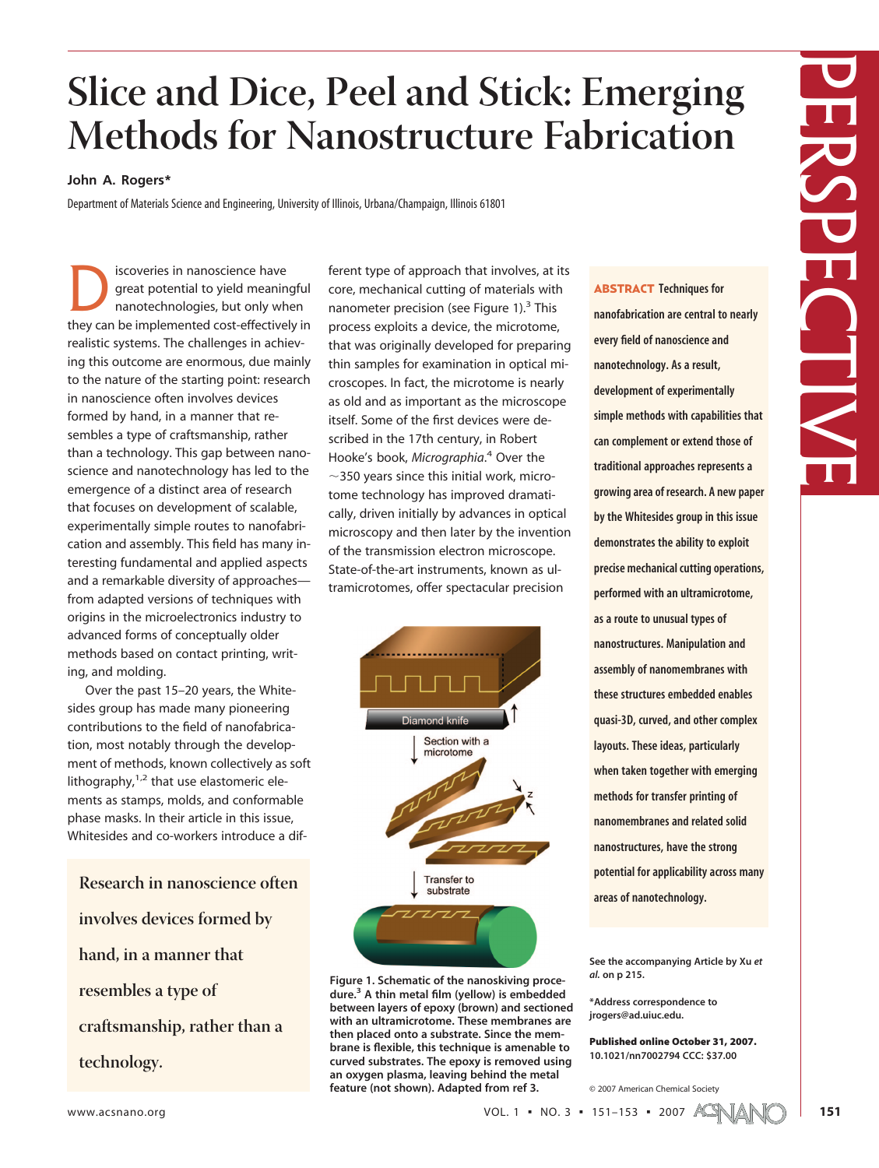## **Slice and Dice, Peel and Stick: Emerging Methods for Nanostructure Fabrication**

**John A. Rogers\***

Department of Materials Science and Engineering, University of Illinois, Urbana/Champaign, Illinois 61801

scoveries in nanoscience have<br>great potential to yield meaningfunanotechnologies, but only when great potential to yield meaningful they can be implemented cost-effectively in realistic systems. The challenges in achieving this outcome are enormous, due mainly to the nature of the starting point: research in nanoscience often involves devices formed by hand, in a manner that resembles a type of craftsmanship, rather than a technology. This gap between nanoscience and nanotechnology has led to the emergence of a distinct area of research that focuses on development of scalable, experimentally simple routes to nanofabrication and assembly. This field has many interesting fundamental and applied aspects and a remarkable diversity of approaches from adapted versions of techniques with origins in the microelectronics industry to advanced forms of conceptually older methods based on contact printing, writing, and molding.

Over the past 15–20 years, the Whitesides group has made many pioneering contributions to the field of nanofabrication, most notably through the development of methods, known collectively as soft lithography, $1/2$  that use elastomeric elements as stamps, molds, and conformable phase masks. In their article in this issue, Whitesides and co-workers introduce a dif-

**Research in nanoscience often involves devices formed by hand, in a manner that resembles a type of craftsmanship, rather than a technology.**

ferent type of approach that involves, at its core, mechanical cutting of materials with nanometer precision (see Figure 1). $3$  This process exploits a device, the microtome, that was originally developed for preparing thin samples for examination in optical microscopes. In fact, the microtome is nearly as old and as important as the microscope itself. Some of the first devices were described in the 17th century, in Robert Hooke's book, *Micrographia*. <sup>4</sup> Over the  $\sim$ 350 years since this initial work, microtome technology has improved dramatically, driven initially by advances in optical microscopy and then later by the invention of the transmission electron microscope. State-of-the-art instruments, known as ultramicrotomes, offer spectacular precision



**Figure 1. Schematic of the nanoskiving procedure.3 A thin metal film (yellow) is embedded between layers of epoxy (brown) and sectioned with an ultramicrotome. These membranes are then placed onto a substrate. Since the membrane is flexible, this technique is amenable to curved substrates. The epoxy is removed using an oxygen plasma, leaving behind the metal feature (not shown). Adapted from ref 3.**

ABSTRACT **Techniques for nanofabrication are central to nearly every field of nanoscience and nanotechnology. As a result, development of experimentally simple methods with capabilities that can complement or extend those of traditional approaches represents a growing area of research. A new paper by the Whitesides group in this issue demonstrates the ability to exploit precise mechanical cutting operations, performed with an ultramicrotome, as a route to unusual types of nanostructures. Manipulation and assembly of nanomembranes with these structures embedded enables quasi-3D, curved, and other complex layouts. These ideas, particularly when taken together with emerging methods for transfer printing of nanomembranes and related solid nanostructures, have the strong potential for applicability across many areas of nanotechnology.**

**See the accompanying Article by Xu** *et al.* **on p 215.**

**\*Address correspondence to jrogers@ad.uiuc.edu.**

Published online October 31, 2007. **10.1021/nn7002794 CCC: \$37.00**

© 2007 American Chemical Society

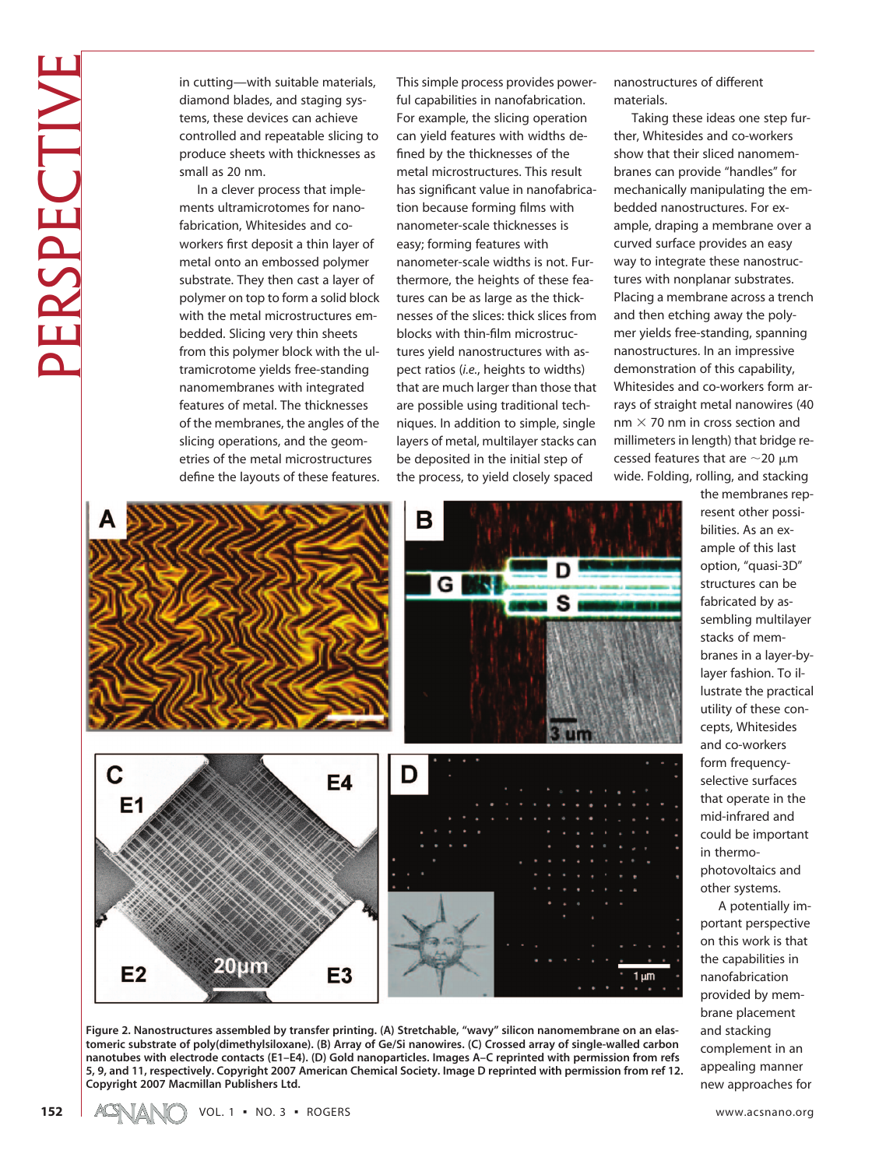in cutting—with suitable materials, diamond blades, and staging systems, these devices can achieve controlled and repeatable slicing to produce sheets with thicknesses as small as 20 nm.

In a clever process that implements ultramicrotomes for nanofabrication, Whitesides and coworkers first deposit a thin layer of metal onto an embossed polymer substrate. They then cast a layer of polymer on top to form a solid block with the metal microstructures embedded. Slicing very thin sheets from this polymer block with the ultramicrotome yields free-standing nanomembranes with integrated features of metal. The thicknesses of the membranes, the angles of the slicing operations, and the geometries of the metal microstructures define the layouts of these features. This simple process provides powerful capabilities in nanofabrication. For example, the slicing operation can yield features with widths defined by the thicknesses of the metal microstructures. This result has significant value in nanofabrication because forming films with nanometer-scale thicknesses is easy; forming features with nanometer-scale widths is not. Furthermore, the heights of these features can be as large as the thicknesses of the slices: thick slices from blocks with thin-film microstructures yield nanostructures with aspect ratios (*i.e.*, heights to widths) that are much larger than those that are possible using traditional techniques. In addition to simple, single layers of metal, multilayer stacks can be deposited in the initial step of the process, to yield closely spaced

nanostructures of different materials.

Taking these ideas one step further, Whitesides and co-workers show that their sliced nanomembranes can provide "handles" for mechanically manipulating the embedded nanostructures. For example, draping a membrane over a curved surface provides an easy way to integrate these nanostructures with nonplanar substrates. Placing a membrane across a trench and then etching away the polymer yields free-standing, spanning nanostructures. In an impressive demonstration of this capability, Whitesides and co-workers form arrays of straight metal nanowires (40 nm  $\times$  70 nm in cross section and millimeters in length) that bridge recessed features that are  $\sim$ 20  $\mu$ m wide. Folding, rolling, and stacking



**Figure 2. Nanostructures assembled by transfer printing. (A) Stretchable, "wavy" silicon nanomembrane on an elastomeric substrate of poly(dimethylsiloxane). (B) Array of Ge/Si nanowires. (C) Crossed array of single-walled carbon nanotubes with electrode contacts (E1–E4). (D) Gold nanoparticles. Images A–C reprinted with permission from refs 5, 9, and 11, respectively. Copyright 2007 American Chemical Society. Image D reprinted with permission from ref 12. Copyright 2007 Macmillan Publishers Ltd.**

the membranes represent other possibilities. As an example of this last option, "quasi-3D" structures can be fabricated by assembling multilayer stacks of membranes in a layer-bylayer fashion. To illustrate the practical utility of these concepts, Whitesides and co-workers form frequencyselective surfaces that operate in the mid-infrared and could be important in thermophotovoltaics and other systems.

A potentially important perspective on this work is that the capabilities in nanofabrication provided by membrane placement and stacking complement in an appealing manner new approaches for